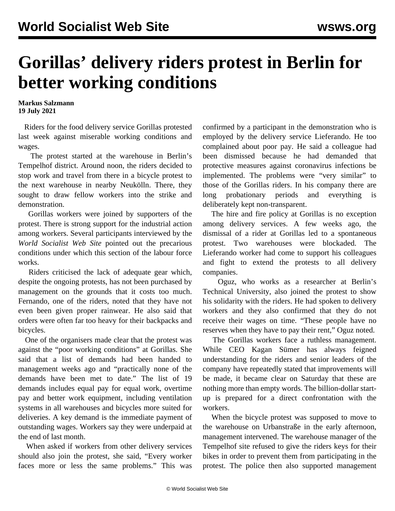## **Gorillas' delivery riders protest in Berlin for better working conditions**

**Markus Salzmann 19 July 2021**

 Riders for the food delivery service Gorillas protested last week against miserable working conditions and wages.

 The protest started at the warehouse in Berlin's Tempelhof district. Around noon, the riders decided to stop work and travel from there in a bicycle protest to the next warehouse in nearby Neukölln. There, they sought to draw fellow workers into the strike and demonstration.

 Gorillas workers were joined by supporters of the protest. There is strong support for the industrial action among workers. Several participants interviewed by the *World Socialist Web Site* pointed out the precarious conditions under which this section of the labour force works.

 Riders criticised the lack of adequate gear which, despite the ongoing protests, has not been purchased by management on the grounds that it costs too much. Fernando, one of the riders, noted that they have not even been given proper rainwear. He also said that orders were often far too heavy for their backpacks and bicycles.

 One of the organisers made clear that the protest was against the "poor working conditions" at Gorillas. She said that a list of demands had been handed to management weeks ago and "practically none of the demands have been met to date." The list of 19 demands includes equal pay for equal work, overtime pay and better work equipment, including ventilation systems in all warehouses and bicycles more suited for deliveries. A key demand is the immediate payment of outstanding wages. Workers say they were underpaid at the end of last month.

 When asked if workers from other delivery services should also join the protest, she said, "Every worker faces more or less the same problems." This was confirmed by a participant in the demonstration who is employed by the delivery service Lieferando. He too complained about poor pay. He said a colleague had been dismissed because he had demanded that protective measures against coronavirus infections be implemented. The problems were "very similar" to those of the Gorillas riders. In his company there are long probationary periods and everything is deliberately kept non-transparent.

 The hire and fire policy at Gorillas is no exception among delivery services. A few weeks ago, the dismissal of a rider at Gorillas led to a spontaneous protest. Two warehouses were blockaded. The Lieferando worker had come to support his colleagues and fight to extend the protests to all delivery companies.

 Oguz, who works as a researcher at Berlin's Technical University, also joined the protest to show his solidarity with the riders. He had spoken to delivery workers and they also confirmed that they do not receive their wages on time. "These people have no reserves when they have to pay their rent," Oguz noted.

 The Gorillas workers face a ruthless management. While CEO Kagan Sümer has always feigned understanding for the riders and senior leaders of the company have repeatedly stated that improvements will be made, it became clear on Saturday that these are nothing more than empty words. The billion-dollar startup is prepared for a direct confrontation with the workers.

 When the bicycle protest was supposed to move to the warehouse on Urbanstraße in the early afternoon, management intervened. The warehouse manager of the Tempelhof site refused to give the riders keys for their bikes in order to prevent them from participating in the protest. The police then also supported management